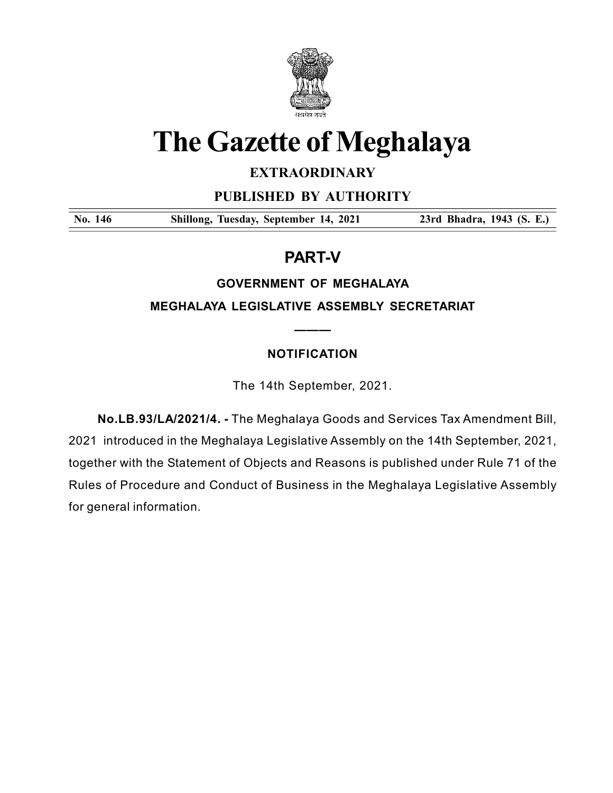

# The Gazette of Meghalaya

# **EXTRAORDINARY**

PUBLISHED BY AUTHORITY

No. 146 Shillong, Tuesday, September 14, 2021 23rd Bhadra, 1943 (S. E.)

# PART-V

## GOVERNMENT OF MEGHALAYA

MEGHALAYA LEGISLATIVE ASSEMBLY SECRETARIAT

———

# NOTIFICATION

The 14th September, 2021.

 No.LB.93/LA/2021/4. - The Meghalaya Goods and Services Tax Amendment Bill, 2021 introduced in the Meghalaya Legislative Assembly on the 14th September, 2021, together with the Statement of Objects and Reasons is published under Rule 71 of the Rules of Procedure and Conduct of Business in the Meghalaya Legislative Assembly for general information.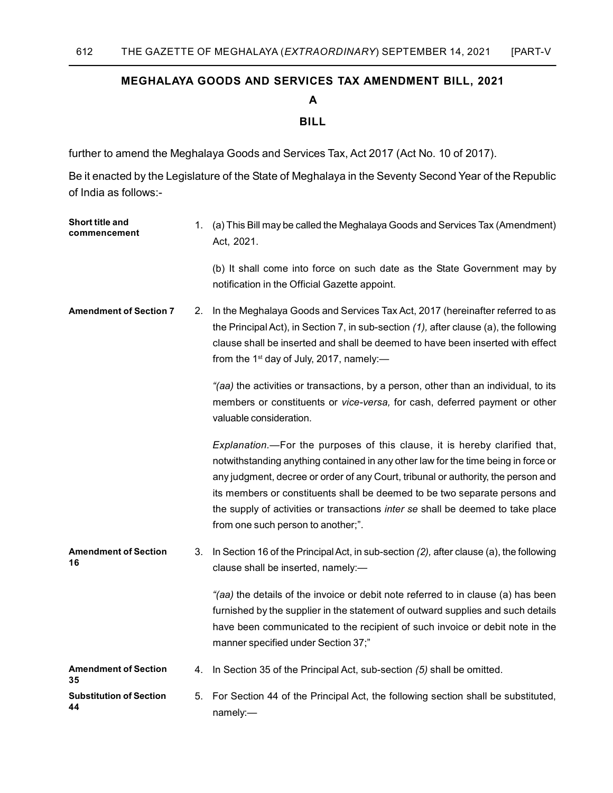### MEGHALAYA GOODS AND SERVICES TAX AMENDMENT BILL, 2021

A

#### BILL

further to amend the Meghalaya Goods and Services Tax, Act 2017 (Act No. 10 of 2017).

 Be it enacted by the Legislature of the State of Meghalaya in the Seventy Second Year of the Republic of India as follows:-

| Short title and<br>commencement      | 1. | (a) This Bill may be called the Meghalaya Goods and Services Tax (Amendment)<br>Act, 2021.                                                                                                                                                                                                                                                                                                                                                                   |
|--------------------------------------|----|--------------------------------------------------------------------------------------------------------------------------------------------------------------------------------------------------------------------------------------------------------------------------------------------------------------------------------------------------------------------------------------------------------------------------------------------------------------|
|                                      |    | (b) It shall come into force on such date as the State Government may by<br>notification in the Official Gazette appoint.                                                                                                                                                                                                                                                                                                                                    |
| <b>Amendment of Section 7</b>        | 2. | In the Meghalaya Goods and Services Tax Act, 2017 (hereinafter referred to as<br>the Principal Act), in Section 7, in sub-section $(1)$ , after clause (a), the following<br>clause shall be inserted and shall be deemed to have been inserted with effect<br>from the 1 <sup>st</sup> day of July, 2017, namely:-                                                                                                                                          |
|                                      |    | "(aa) the activities or transactions, by a person, other than an individual, to its<br>members or constituents or vice-versa, for cash, deferred payment or other<br>valuable consideration.                                                                                                                                                                                                                                                                 |
|                                      |    | Explanation.—For the purposes of this clause, it is hereby clarified that,<br>notwithstanding anything contained in any other law for the time being in force or<br>any judgment, decree or order of any Court, tribunal or authority, the person and<br>its members or constituents shall be deemed to be two separate persons and<br>the supply of activities or transactions inter se shall be deemed to take place<br>from one such person to another;". |
| <b>Amendment of Section</b><br>16    | 3. | In Section 16 of the Principal Act, in sub-section (2), after clause (a), the following<br>clause shall be inserted, namely:-                                                                                                                                                                                                                                                                                                                                |
|                                      |    | "(aa) the details of the invoice or debit note referred to in clause (a) has been<br>furnished by the supplier in the statement of outward supplies and such details<br>have been communicated to the recipient of such invoice or debit note in the<br>manner specified under Section 37;"                                                                                                                                                                  |
| <b>Amendment of Section</b><br>35    | 4. | In Section 35 of the Principal Act, sub-section (5) shall be omitted.                                                                                                                                                                                                                                                                                                                                                                                        |
| <b>Substitution of Section</b><br>44 | 5. | For Section 44 of the Principal Act, the following section shall be substituted,<br>namely:-                                                                                                                                                                                                                                                                                                                                                                 |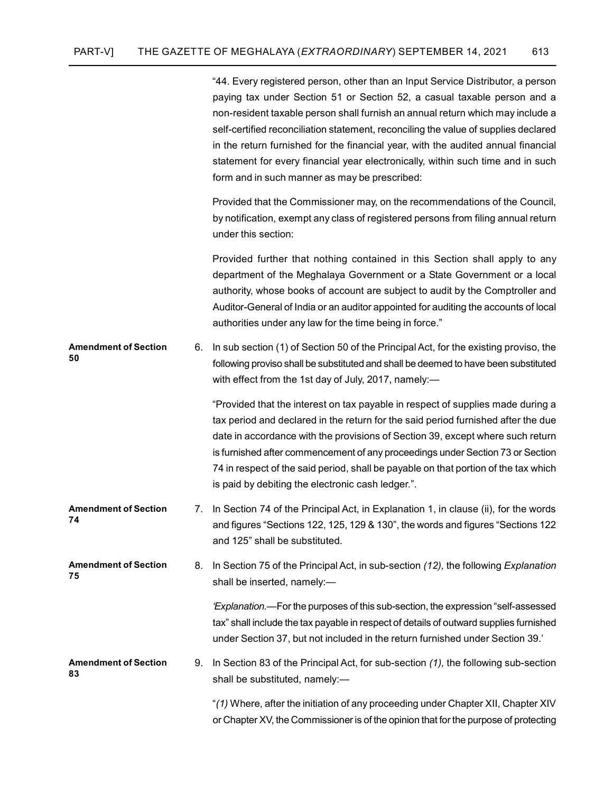"44. Every registered person, other than an Input Service Distributor, a person paying tax under Section 51 or Section 52, a casual taxable person and a non-resident taxable person shall furnish an annual return which may include a self-certified reconciliation statement, reconciling the value of supplies declared in the return furnished for the financial year, with the audited annual financial statement for every financial year electronically, within such time and in such form and in such manner as may be prescribed:

 Provided that the Commissioner may, on the recommendations of the Council, by notification, exempt any class of registered persons from filing annual return under this section:

 Provided further that nothing contained in this Section shall apply to any department of the Meghalaya Government or a State Government or a local authority, whose books of account are subject to audit by the Comptroller and Auditor-General of India or an auditor appointed for auditing the accounts of local authorities under any law for the time being in force."

6. In sub section (1) of Section 50 of the Principal Act, for the existing proviso, the following proviso shall be substituted and shall be deemed to have been substituted with effect from the 1st day of July, 2017, namely:— Amendment of Section 50

> "Provided that the interest on tax payable in respect of supplies made during a tax period and declared in the return for the said period furnished after the due date in accordance with the provisions of Section 39, except where such return is furnished after commencement of any proceedings under Section 73 or Section 74 in respect of the said period, shall be payable on that portion of the tax which is paid by debiting the electronic cash ledger.".

- 7. In Section 74 of the Principal Act, in Explanation 1, in clause (ii), for the words and figures "Sections 122, 125, 129 & 130", the words and figures "Sections 122 and 125" shall be substituted. Amendment of Section 74
- 8. In Section 75 of the Principal Act, in sub-section (12), the following Explanation shall be inserted, namely:— Amendment of Section 75

 'Explanation.—For the purposes of this sub-section, the expression "self-assessed tax" shall include the tax payable in respect of details of outward supplies furnished under Section 37, but not included in the return furnished under Section 39.'

9. In Section 83 of the Principal Act, for sub-section (1), the following sub-section shall be substituted, namely:— Amendment of Section 83

> "(1) Where, after the initiation of any proceeding under Chapter XII, Chapter XIV or Chapter XV, the Commissioner is of the opinion that for the purpose of protecting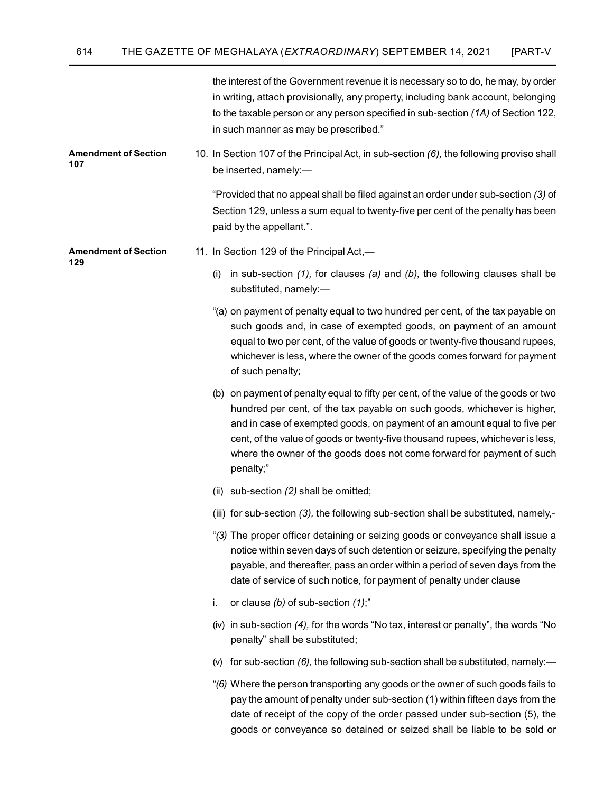|                                    | the interest of the Government revenue it is necessary so to do, he may, by order<br>in writing, attach provisionally, any property, including bank account, belonging<br>to the taxable person or any person specified in sub-section (1A) of Section 122,<br>in such manner as may be prescribed."                                                                                                                 |
|------------------------------------|----------------------------------------------------------------------------------------------------------------------------------------------------------------------------------------------------------------------------------------------------------------------------------------------------------------------------------------------------------------------------------------------------------------------|
| <b>Amendment of Section</b><br>107 | 10. In Section 107 of the Principal Act, in sub-section (6), the following proviso shall<br>be inserted, namely:-                                                                                                                                                                                                                                                                                                    |
|                                    | "Provided that no appeal shall be filed against an order under sub-section (3) of<br>Section 129, unless a sum equal to twenty-five per cent of the penalty has been<br>paid by the appellant.".                                                                                                                                                                                                                     |
| <b>Amendment of Section</b><br>129 | 11. In Section 129 of the Principal Act,-                                                                                                                                                                                                                                                                                                                                                                            |
|                                    | in sub-section $(1)$ , for clauses $(a)$ and $(b)$ , the following clauses shall be<br>(i)<br>substituted, namely:-                                                                                                                                                                                                                                                                                                  |
|                                    | "(a) on payment of penalty equal to two hundred per cent, of the tax payable on<br>such goods and, in case of exempted goods, on payment of an amount<br>equal to two per cent, of the value of goods or twenty-five thousand rupees,<br>whichever is less, where the owner of the goods comes forward for payment<br>of such penalty;                                                                               |
|                                    | (b) on payment of penalty equal to fifty per cent, of the value of the goods or two<br>hundred per cent, of the tax payable on such goods, whichever is higher,<br>and in case of exempted goods, on payment of an amount equal to five per<br>cent, of the value of goods or twenty-five thousand rupees, whichever is less,<br>where the owner of the goods does not come forward for payment of such<br>penalty;" |
|                                    | sub-section (2) shall be omitted;<br>(ii)                                                                                                                                                                                                                                                                                                                                                                            |
|                                    | (iii) for sub-section (3), the following sub-section shall be substituted, namely,-                                                                                                                                                                                                                                                                                                                                  |
|                                    | "(3) The proper officer detaining or seizing goods or conveyance shall issue a<br>notice within seven days of such detention or seizure, specifying the penalty<br>payable, and thereafter, pass an order within a period of seven days from the<br>date of service of such notice, for payment of penalty under clause                                                                                              |
|                                    | or clause $(b)$ of sub-section $(1)$ ;"<br>i.                                                                                                                                                                                                                                                                                                                                                                        |
|                                    | (iv) in sub-section (4), for the words "No tax, interest or penalty", the words "No<br>penalty" shall be substituted;                                                                                                                                                                                                                                                                                                |
|                                    | for sub-section (6), the following sub-section shall be substituted, namely:-<br>(V)                                                                                                                                                                                                                                                                                                                                 |
|                                    | "(6) Where the person transporting any goods or the owner of such goods fails to<br>pay the amount of penalty under sub-section (1) within fifteen days from the<br>date of receipt of the copy of the order passed under sub-section (5), the<br>goods or conveyance so detained or seized shall be liable to be sold or                                                                                            |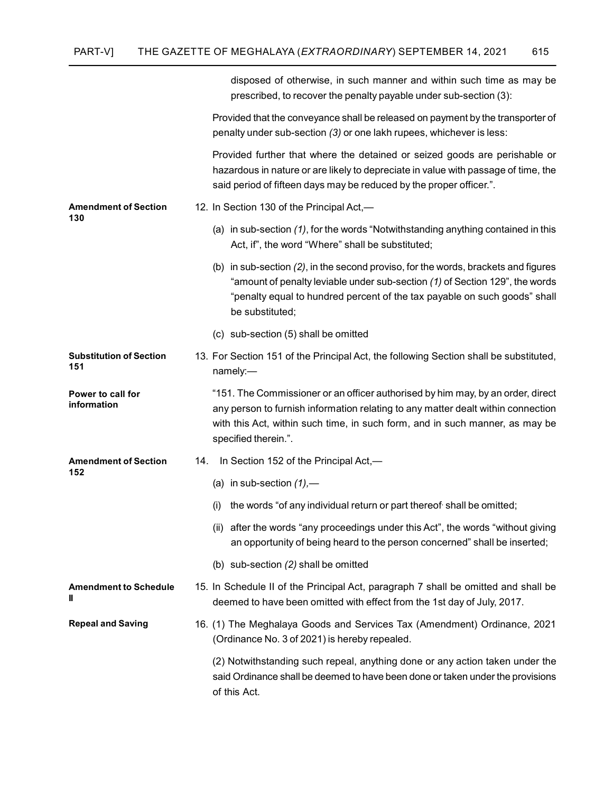|                                       | disposed of otherwise, in such manner and within such time as may be<br>prescribed, to recover the penalty payable under sub-section (3):                                                                                                                                   |
|---------------------------------------|-----------------------------------------------------------------------------------------------------------------------------------------------------------------------------------------------------------------------------------------------------------------------------|
|                                       | Provided that the conveyance shall be released on payment by the transporter of<br>penalty under sub-section (3) or one lakh rupees, whichever is less:                                                                                                                     |
|                                       | Provided further that where the detained or seized goods are perishable or<br>hazardous in nature or are likely to depreciate in value with passage of time, the<br>said period of fifteen days may be reduced by the proper officer.".                                     |
| <b>Amendment of Section</b><br>130    | 12. In Section 130 of the Principal Act,-                                                                                                                                                                                                                                   |
|                                       | (a) in sub-section (1), for the words "Notwithstanding anything contained in this<br>Act, if", the word "Where" shall be substituted;                                                                                                                                       |
|                                       | (b) in sub-section (2), in the second proviso, for the words, brackets and figures<br>"amount of penalty leviable under sub-section (1) of Section 129", the words<br>"penalty equal to hundred percent of the tax payable on such goods" shall<br>be substituted;          |
|                                       | (c) sub-section (5) shall be omitted                                                                                                                                                                                                                                        |
| <b>Substitution of Section</b><br>151 | 13. For Section 151 of the Principal Act, the following Section shall be substituted,<br>namely:-                                                                                                                                                                           |
| Power to call for<br>information      | "151. The Commissioner or an officer authorised by him may, by an order, direct<br>any person to furnish information relating to any matter dealt within connection<br>with this Act, within such time, in such form, and in such manner, as may be<br>specified therein.". |
| <b>Amendment of Section</b>           | 14. In Section 152 of the Principal Act,—                                                                                                                                                                                                                                   |
| 152                                   | (a) in sub-section $(1)$ ,-                                                                                                                                                                                                                                                 |
|                                       | the words "of any individual return or part thereof shall be omitted;<br>(i)                                                                                                                                                                                                |
|                                       | (ii) after the words "any proceedings under this Act", the words "without giving<br>an opportunity of being heard to the person concerned" shall be inserted;                                                                                                               |
|                                       | (b) sub-section (2) shall be omitted                                                                                                                                                                                                                                        |
| <b>Amendment to Schedule</b><br>Ш     | 15. In Schedule II of the Principal Act, paragraph 7 shall be omitted and shall be<br>deemed to have been omitted with effect from the 1st day of July, 2017.                                                                                                               |
| <b>Repeal and Saving</b>              | 16. (1) The Meghalaya Goods and Services Tax (Amendment) Ordinance, 2021<br>(Ordinance No. 3 of 2021) is hereby repealed.                                                                                                                                                   |
|                                       | (2) Notwithstanding such repeal, anything done or any action taken under the<br>said Ordinance shall be deemed to have been done or taken under the provisions<br>of this Act.                                                                                              |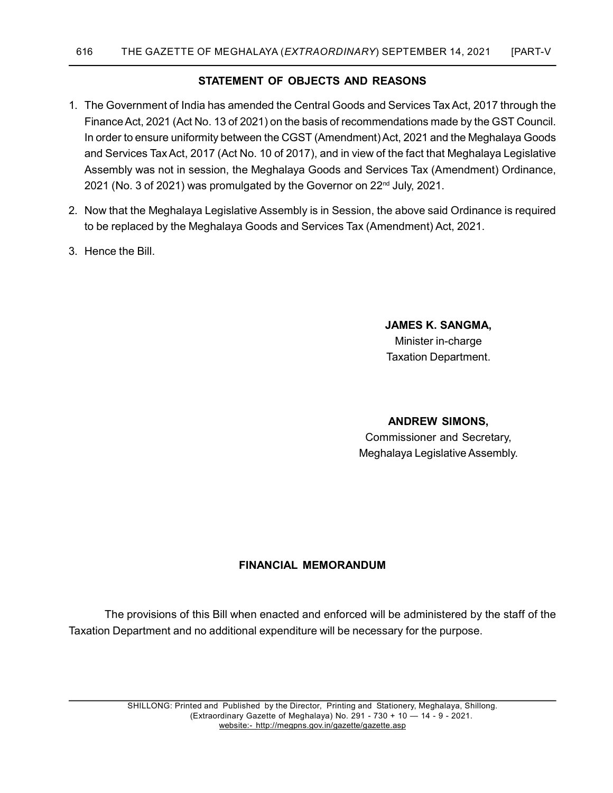### STATEMENT OF OBJECTS AND REASONS

- 1. The Government of India has amended the Central Goods and Services Tax Act, 2017 through the Finance Act, 2021 (Act No. 13 of 2021) on the basis of recommendations made by the GST Council. In order to ensure uniformity between the CGST (Amendment) Act, 2021 and the Meghalaya Goods and Services Tax Act, 2017 (Act No. 10 of 2017), and in view of the fact that Meghalaya Legislative Assembly was not in session, the Meghalaya Goods and Services Tax (Amendment) Ordinance, 2021 (No. 3 of 2021) was promulgated by the Governor on 22<sup>nd</sup> July, 2021.
- 2. Now that the Meghalaya Legislative Assembly is in Session, the above said Ordinance is required to be replaced by the Meghalaya Goods and Services Tax (Amendment) Act, 2021.
- 3. Hence the Bill.

# JAMES K. SANGMA,

Minister in-charge Taxation Department.

### ANDREW SIMONS,

 Commissioner and Secretary, Meghalaya Legislative Assembly.

### FINANCIAL MEMORANDUM

 The provisions of this Bill when enacted and enforced will be administered by the staff of the Taxation Department and no additional expenditure will be necessary for the purpose.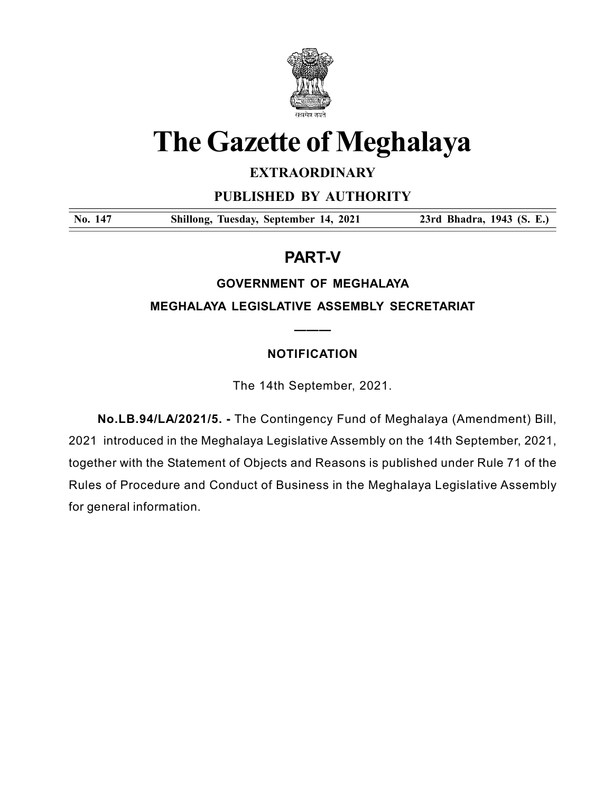

# The Gazette of Meghalaya

# **EXTRAORDINARY**

PUBLISHED BY AUTHORITY

No. 147 Shillong, Tuesday, September 14, 2021 23rd Bhadra, 1943 (S. E.)

# PART-V

## GOVERNMENT OF MEGHALAYA

MEGHALAYA LEGISLATIVE ASSEMBLY SECRETARIAT

———

# NOTIFICATION

The 14th September, 2021.

 No.LB.94/LA/2021/5. - The Contingency Fund of Meghalaya (Amendment) Bill, 2021 introduced in the Meghalaya Legislative Assembly on the 14th September, 2021, together with the Statement of Objects and Reasons is published under Rule 71 of the Rules of Procedure and Conduct of Business in the Meghalaya Legislative Assembly for general information.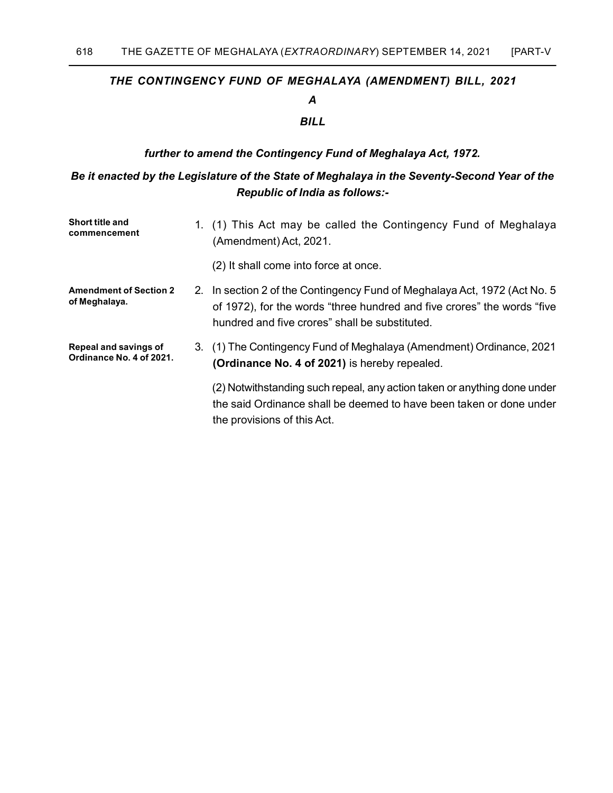#### THE CONTINGENCY FUND OF MEGHALAYA (AMENDMENT) BILL, 2021

### A

### BILL

#### further to amend the Contingency Fund of Meghalaya Act, 1972.

### Be it enacted by the Legislature of the State of Meghalaya in the Seventy-Second Year of the Republic of India as follows:-

| <b>Short title and</b><br>commencement            | 1. (1) This Act may be called the Contingency Fund of Meghalaya<br>(Amendment) Act, 2021.                                                                                                               |
|---------------------------------------------------|---------------------------------------------------------------------------------------------------------------------------------------------------------------------------------------------------------|
|                                                   | (2) It shall come into force at once.                                                                                                                                                                   |
| <b>Amendment of Section 2</b><br>of Meghalaya.    | 2. In section 2 of the Contingency Fund of Meghalaya Act, 1972 (Act No. 5)<br>of 1972), for the words "three hundred and five crores" the words "five<br>hundred and five crores" shall be substituted. |
| Repeal and savings of<br>Ordinance No. 4 of 2021. | 3. (1) The Contingency Fund of Meghalaya (Amendment) Ordinance, 2021<br>(Ordinance No. 4 of 2021) is hereby repealed.                                                                                   |
|                                                   | (2) Notwithstanding such repeal, any action taken or anything done under<br>the said Ordinance shall be deemed to have been taken or done under<br>the provisions of this Act.                          |